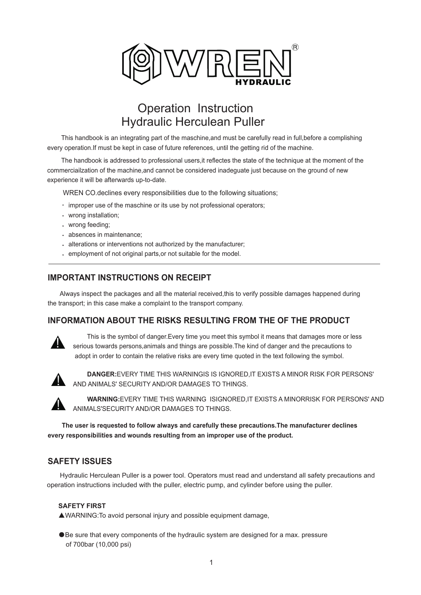

# Hydraulic Herculean Puller Operation Instruction

 This handbook is an integrating part of the maschine,and must be carefully read in full,before a complishing every operation.If must be kept in case of future references, until the getting rid of the machine.

 The handbook is addressed to professional users,it reflectes the state of the technique at the moment of the commerciailzation of the machine,and cannot be considered inadeguate just because on the ground of new experience it will be afterwards up-to-date.

WREN CO.declines every responsibilities due to the following situations;

- $\cdot$  improper use of the maschine or its use by not professional operators;
- wrong installation;
- wrong feeding;
- absences in maintenance;
- alterations or interventions not authorized by the manufacturer;
- employment of not original parts,or not suitable for the model.

## **IMPORTANT INSTRUCTIONS ON RECEIPT**

 Always inspect the packages and all the material received,this to verify possible damages happened during the transport; in this case make a complaint to the transport company.

#### **INFORMATION ABOUT THE RISKS RESULTING FROM THE OF THE PRODUCT**



 This is the symbol of danger.Every time you meet this symbol it means that damages more or less serious towards persons,animals and things are possible.The kind of danger and the precautions to adopt in order to contain the relative risks are every time quoted in the text following the symbol.



 **DANGER:**EVERY TIME THIS WARNINGIS IS IGNORED,IT EXISTS A MINOR RISK FOR PERSONS' AND ANIMALS' SECURITY AND/OR DAMAGES TO THINGS.



 **WARNING:**EVERY TIME THIS WARNING ISIGNORED,IT EXISTS A MINORRISK FOR PERSONS' AND ANIMALS'SECURITY AND/OR DAMAGES TO THINGS.

 **The user is requested to follow always and carefully these precautions.The manufacturer declines every responsibilities and wounds resulting from an improper use of the product.**

#### **SAFETY ISSUES**

 Hydraulic Herculean Puller is a power tool. Operators must read and understand all safety precautions and operation instructions included with the puller, electric pump, and cylinder before using the puller.

#### **SAFETY FIRST**

▲WARNING:To avoid personal injury and possible equipment damage,

●Be sure that every components of the hydraulic system are designed for a max. pressure of 700bar (10,000 psi)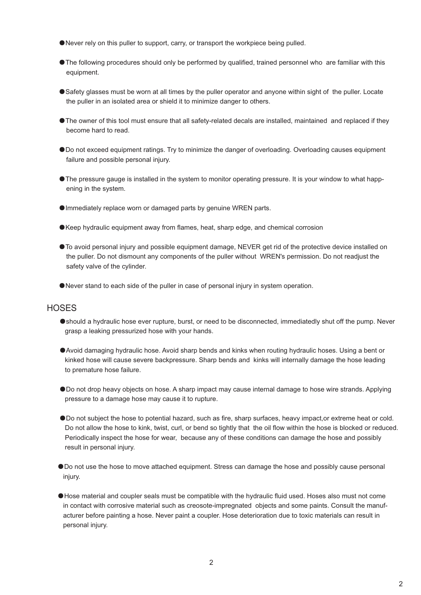- ●Never rely on this puller to support, carry, or transport the workpiece being pulled.
- ●The following procedures should only be performed by qualified, trained personnel who are familiar with this equipment.
- ●Safety glasses must be worn at all times by the puller operator and anyone within sight of the puller. Locate the puller in an isolated area or shield it to minimize danger to others.
- ●The owner of this tool must ensure that all safety-related decals are installed, maintained and replaced if they become hard to read.
- ●Do not exceed equipment ratings. Try to minimize the danger of overloading. Overloading causes equipment failure and possible personal injury.
- ●The pressure gauge is installed in the system to monitor operating pressure. It is your window to what happ ening in the system.
- Immediately replace worn or damaged parts by genuine WREN parts.
- ●Keep hydraulic equipment away from flames, heat, sharp edge, and chemical corrosion
- ●To avoid personal injury and possible equipment damage, NEVER get rid of the protective device installed on the puller. Do not dismount any components of the puller without WREN's permission. Do not readjust the safety valve of the cylinder.
- ●Never stand to each side of the puller in case of personal injury in system operation.

#### **HOSES**

- ●should a hydraulic hose ever rupture, burst, or need to be disconnected, immediatedly shut off the pump. Never grasp a leaking pressurized hose with your hands.
- ●Avoid damaging hydraulic hose. Avoid sharp bends and kinks when routing hydraulic hoses. Using a bent or kinked hose will cause severe backpressure. Sharp bends and kinks will internally damage the hose leading to premature hose failure.
- ●Do not drop heavy objects on hose. A sharp impact may cause internal damage to hose wire strands. Applying pressure to a damage hose may cause it to rupture.
- ●Do not subject the hose to potential hazard, such as fire, sharp surfaces, heavy impact,or extreme heat or cold. Do not allow the hose to kink, twist, curl, or bend so tightly that the oil flow within the hose is blocked or reduced. Periodically inspect the hose for wear, because any of these conditions can damage the hose and possibly result in personal injury.
- ●Do not use the hose to move attached equipment. Stress can damage the hose and possibly cause personal injury.
- ●Hose material and coupler seals must be compatible with the hydraulic fluid used. Hoses also must not come in contact with corrosive material such as creosote-impregnated objects and some paints. Consult the manuf acturer before painting a hose. Never paint a coupler. Hose deterioration due to toxic materials can result in personal injury.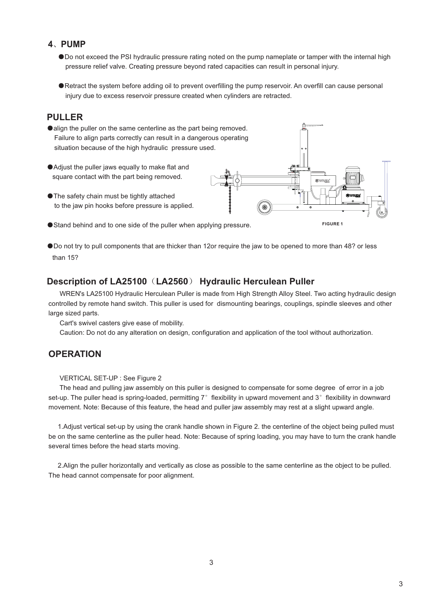#### **4**、**PUMP**

- ●Do not exceed the PSI hydraulic pressure rating noted on the pump nameplate or tamper with the internal high pressure relief valve. Creating pressure beyond rated capacities can result in personal injury.
- ●Retract the system before adding oil to prevent overfilling the pump reservoir. An overfill can cause personal injury due to excess reservoir pressure created when cylinders are retracted.

## **PULLER**

- ●align the puller on the same centerline as the part being removed. Failure to align parts correctly can result in a dangerous operating situation because of the high hydraulic pressure used.
- Adjust the puller jaws equally to make flat and square contact with the part being removed.
- The safety chain must be tightly attached to the jaw pin hooks before pressure is applied.
- Stand behind and to one side of the puller when applying pressure.
- ●Do not try to pull components that are thicker than 12or require the jaw to be opened to more than 48? or less than 15?

#### **Description of LA25100**(**LA2560**) **Hydraulic Herculean Puller**

 WREN's LA25100 Hydraulic Herculean Puller is made from High Strength Alloy Steel. Two acting hydraulic design controlled by remote hand switch. This puller is used for dismounting bearings, couplings, spindle sleeves and other large sized parts.

Cart's swivel casters give ease of mobility.

Caution: Do not do any alteration on design, configuration and application of the tool without authorization.

#### **OPERATION**

#### VERTICAL SET-UP : See Figure 2

 The head and pulling jaw assembly on this puller is designed to compensate for some degree of error in a job set-up. The puller head is spring-loaded, permitting 7° flexibility in upward movement and 3° flexibility in downward movement. Note: Because of this feature, the head and puller jaw assembly may rest at a slight upward angle.

 1.Adjust vertical set-up by using the crank handle shown in Figure 2. the centerline of the object being pulled must be on the same centerline as the puller head. Note: Because of spring loading, you may have to turn the crank handle several times before the head starts moving.

 2.Align the puller horizontally and vertically as close as possible to the same centerline as the object to be pulled. The head cannot compensate for poor alignment.

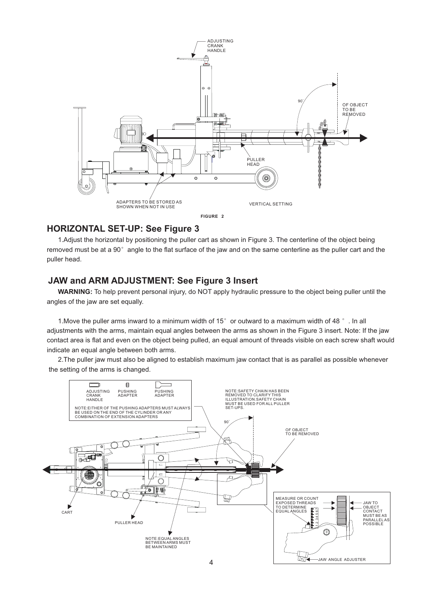

## **HORIZONTAL SET-UP: See Figure 3**

 1.Adjust the horizontal by positioning the puller cart as shown in Figure 3. The centerline of the object being removed must be at a 90° angle to the flat surface of the jaw and on the same centerline as the puller cart and the puller head.

## **JAW and ARM ADJUSTMENT: See Figure 3 Insert**

 **WARNING:** To help prevent personal injury, do NOT apply hydraulic pressure to the object being puller until the angles of the jaw are set equally.

 1.Move the puller arms inward to a minimum width of 15°or outward to a maximum width of 48 °. In all adjustments with the arms, maintain equal angles between the arms as shown in the Figure 3 insert. Note: If the jaw contact area is flat and even on the object being pulled, an equal amount of threads visible on each screw shaft would indicate an equal angle between both arms.

 2.The puller jaw must also be aligned to establish maximum jaw contact that is as parallel as possible whenever the setting of the arms is changed.

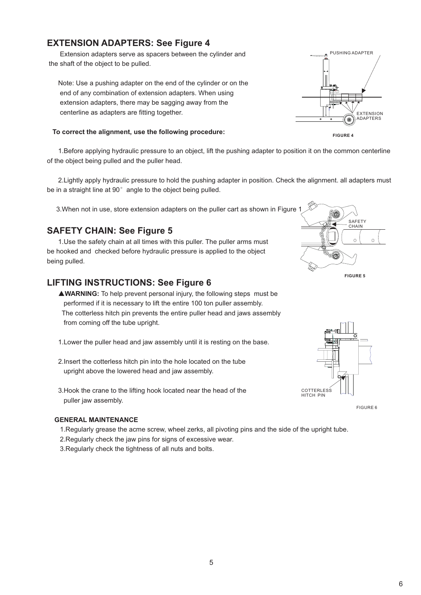# **EXTENSION ADAPTERS: See Figure 4**

 Extension adapters serve as spacers between the cylinder and the shaft of the object to be pulled.

 Note: Use a pushing adapter on the end of the cylinder or on the end of any combination of extension adapters. When using extension adapters, there may be sagging away from the centerline as adapters are fitting together.

#### **To correct the alignment, use the following procedure:**

 1.Before applying hydraulic pressure to an object, lift the pushing adapter to position it on the common centerline of the object being pulled and the puller head.

 2.Lightly apply hydraulic pressure to hold the pushing adapter in position. Check the alignment. all adapters must be in a straight line at 90° angle to the object being pulled.

3.When not in use, store extension adapters on the puller cart as shown in Figure 1

## **SAFETY CHAIN: See Figure 5**

 1.Use the safety chain at all times with this puller. The puller arms must be hooked and checked before hydraulic pressure is applied to the object being pulled.

## **LIFTING INSTRUCTIONS: See Figure 6**

 ▲**WARNING:** To help prevent personal injury, the following steps must be performed if it is necessary to lift the entire 100 ton puller assembly. The cotterless hitch pin prevents the entire puller head and jaws assembly from coming off the tube upright.

- 1.Lower the puller head and jaw assembly until it is resting on the base.
- 2.Insert the cotterless hitch pin into the hole located on the tube upright above the lowered head and jaw assembly.
- 3.Hook the crane to the lifting hook located near the head of the puller jaw assembly.

#### **GENERAL MAINTENANCE**

- 1.Regularly grease the acme screw, wheel zerks, all pivoting pins and the side of the upright tube.
- 2.Regularly check the jaw pins for signs of excessive wear.
- 3.Regularly check the tightness of all nuts and bolts.







FIGURE 6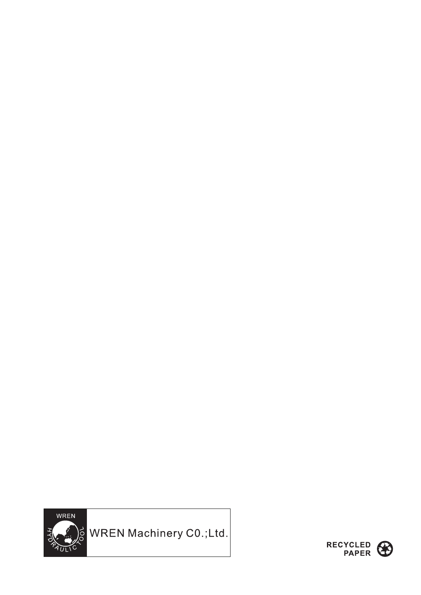

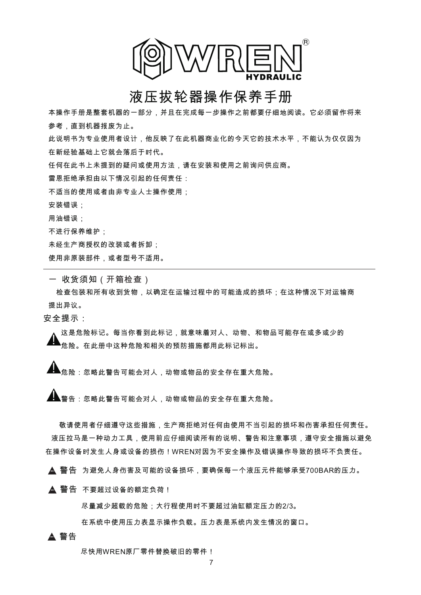

# 液压拔轮器操作保养手册

本操作手册是整套机器的一部分,并且在完成每一步操作之前都要仔细地阅读。它必须留作将来 参考,直到机器报废为止。 此说明书为专业使用者设计,他反映了在此机器商业化的今天它的技术水平,不能认为仅仅因为 在新经验基础上它就会落后于时代。 任何在此书上未提到的疑问或使用方法,请在安装和使用之前询问供应商。 雷恩拒绝承担由以下情况引起的任何责任: 不适当的使用或者由非专业人士操作使用; 安装错误; 用油错误; 不进行保养维护; 未经生产商授权的改装或者拆卸;

使用非原装部件,或者型号不适用。

一 收货须知(开箱检查)

检查包装和所有收到货物,以确定在运输过程中的可能造成的损坏;在这种情况下对运输商 提出异议。

安全提示:

这是危险标记。每当你看到此标记,就意味着对人、动物、和物品可能存在或多或少的 危险。在此册中这种危险和相关的预防措施都用此标记标出。  $\boldsymbol{\mathsf{I}}$ 

 $\blacktriangle$   $_{\texttt{\textregistered E}}$   $_{\texttt{\text{E}}}$  . 忽略此警告可能会对人,动物或物品的安全存在重大危险。

警告:忽略此警告可能会对人,动物或物品的安全存在重大危险。 !

 敬请使用者仔细遵守这些措施,生产商拒绝对任何由使用不当引起的损坏和伤害承担任何责任。 液压拉马是一种动力工具,使用前应仔细阅读所有的说明、警告和注意事项,遵守安全措施以避免 在操作设备时发生人身或设备的损伤!WREN对因为不安全操作及错误操作导致的损坏不负责任。

! 警告 为避免人身伤害及可能的设备损坏,要确保每一个液压元件能够承受700BAR的压力。

 $\blacktriangle$  警告 不要超过设备的额定负荷!

尽量减少超载的危险;大行程使用时不要超过油缸额定压力的2/3。

在系统中使用压力表显示操作负载。压力表是系统内发生情况的窗口。

#### A 警告

尽快用WREN原厂零件替换破旧的零件!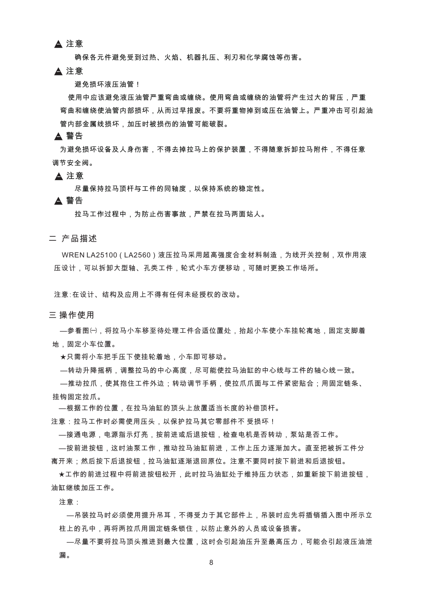▲ 注意

确保各元件避免受到过热、火焰、机器扎压、利刃和化学腐蚀等伤害。

▲ 注意

避免损坏液压油管!

 使用中应该避免液压油管严重弯曲或缠绕。使用弯曲或缠绕的油管将产生过大的背压,严重 弯曲和缠绕使油管内部损坏,从而过早报废。不要将重物掉到或压在油管上。严重冲击可引起油 管内部金属线损坏,加压时被损伤的油管可能破裂。

▲ 警告

 为避免损坏设备及人身伤害,不得去掉拉马上的保护装置,不得随意拆卸拉马附件,不得任意 调节安全阀。

▲ 注意

尽量保持拉马顶杆与工件的同轴度,以保持系统的稳定性。

▲ 警告

拉马工作过程中,为防止伤害事故,严禁在拉马两面站人。

二 产品描述

 WREN LA25100(LA2560)液压拉马采用超高强度合金材料制造,为线开关控制,双作用液 压设计,可以拆卸大型轴、孔类工件,轮式小车方便移动,可随时更换工作场所。

注意∶在设计、结构及应用上不得有任何未经授权的改动。

三 操作使用

 —参看图㈠,将拉马小车移至待处理工件合适位置处,抬起小车使小车挂轮离地,固定支脚着 地,固定小车位置。

★只需将小车把手压下使挂轮着地,小车即可移动。

—转动升降摇柄,调整拉马的中心高度,尽可能使拉马油缸的中心线与工件的轴心线一致。

 —推动拉爪,使其抱住工件外边;转动调节手柄,使拉爪爪面与工件紧密贴合;用固定链条、 挂钩固定拉爪。

—根据工作的位置,在拉马油缸的顶头上放置适当长度的补偿顶杆。

注意:拉马工作时必需使用压头,以保护拉马其它零部件不 受损坏!

—接通电源,电源指示灯亮,按前进或后退按钮,检查电机是否转动,泵站是否工作。

 —按前进按钮,这时油泵工作,推动拉马油缸前进,工作上压力逐渐加大。直至把被拆工件分 离开来;然后按下后退按钮,拉马油缸逐渐退回原位。注意不要同时按下前进和后退按钮。

 ★工作的前进过程中将前进按钮松开,此时拉马油缸处于维持压力状态,如重新按下前进按钮, 油缸继续加压工作。

注意:

 —吊装拉马时必须使用提升吊耳,不得受力于其它部件上,吊装时应先将插销插入图中所示立 柱上的孔中,再将两拉爪用固定链条锁住,以防止意外的人员或设备损害。

 —尽量不要将拉马顶头推进到最大位置,这时会引起油压升至最高压力,可能会引起液压油泄 漏。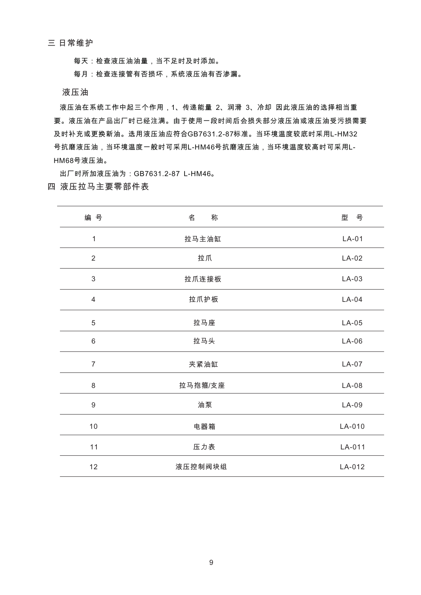三 日常维护

每天:检查液压油油量,当不足时及时添加。

每月:检查连接管有否损坏,系统液压油有否渗漏。

液压油

 液压油在系统工作中起三个作用,1、传递能量 2、润滑 3、冷却 因此液压油的选择相当重 要。液压油在产品出厂时已经注满。由于使用一段时间后会损失部分液压油或液压油受污损需要 及时补充或更换新油。选用液压油应符合GB7631.2-87标准。当环境温度较底时采用L-HM32 号抗磨液压油,当环境温度一般时可采用L-HM46号抗磨液压油,当环境温度较高时可采用L- HM68号液压油。

出厂时所加液压油为:GB7631.2-87 L-HM46。

## 四 液压拉马主要零部件表

| 编号               | 称<br>名  | 型 号     |
|------------------|---------|---------|
| $\mathbf{1}$     | 拉马主油缸   | $LA-01$ |
| $\overline{2}$   | 拉爪      | $LA-02$ |
| $\mathfrak{S}$   | 拉爪连接板   | $LA-03$ |
| $\overline{4}$   | 拉爪护板    | $LA-04$ |
| $\mathbf 5$      | 拉马座     | $LA-05$ |
| $6\phantom{1}$   | 拉马头     | $LA-06$ |
| $\overline{7}$   | 夹紧油缸    | $LA-07$ |
| 8                | 拉马抱箍/支座 | $LA-08$ |
| $\boldsymbol{9}$ | 油泵      | $LA-09$ |
| 10               | 电器箱     | LA-010  |
| 11               | 压力表     | LA-011  |
| 12               | 液压控制阀块组 | LA-012  |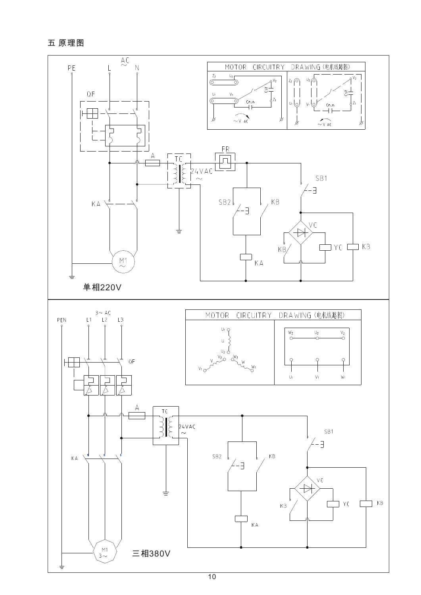五原理图

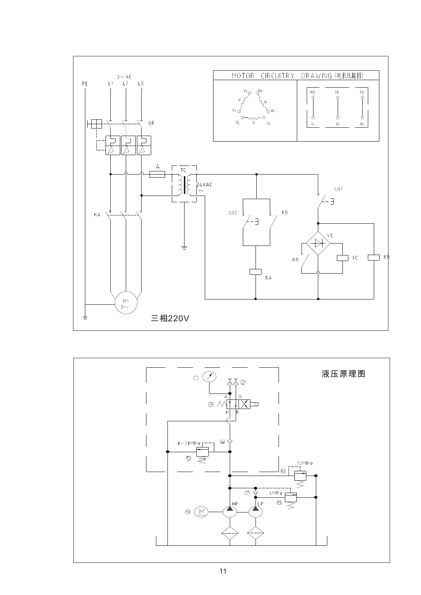

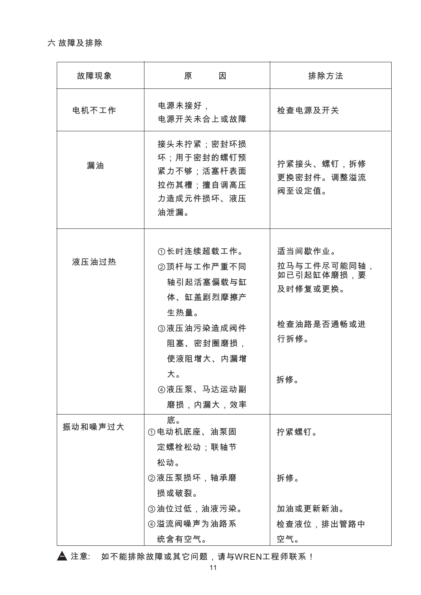六 故障及排除

| 故障现象    | 因<br>原                                                                     | 排除方法                                             |
|---------|----------------------------------------------------------------------------|--------------------------------------------------|
| 电机不工作   | 电源未接好,<br>电源开关未合上或故障                                                       | 检查电源及开关                                          |
| 漏油      | 接头未拧紧;密封环损<br>坏;用于密封的螺钉预<br>紧力不够;活塞杆表面<br>拉伤其槽;擅自调高压<br>力造成元件损坏、液压<br>油泄漏。 | 拧紧接头、螺钉,拆修<br>更换密封件。调整溢流<br>阀至设定值。               |
| 液压油过热   | ①长时连续超载工作。<br>②顶杆与工作严重不同<br>轴引起活塞偏载与缸<br>体、缸盖剧烈摩擦产<br>生热量。                 | 适当间歇作业。<br>拉马与工件尽可能同轴,<br>如已引起缸体磨损,要<br>及时修复或更换。 |
|         | ③液压油污染造成阀件<br>阻塞、密封圈磨损,<br>使液阻增大、内漏增                                       | 检查油路是否通畅或进<br>行拆修。                               |
|         | 大。<br>4 液压泵、马达运动副<br>磨损,内漏大,效率                                             | 拆修。                                              |
| 振动和噪声过大 | 底。<br>①电动机底座、油泵固<br>定螺栓松动;联轴节<br>松动。                                       | 拧紧螺钉。                                            |
|         | ②液压泵损坏,轴承磨<br>损或破裂。                                                        | 拆修。                                              |
|         | ③油位过低,油液污染。<br>④溢流阀噪声为油路系<br>统含有空气。                                        | 加油或更新新油。<br>检查液位,排出管路中<br>空气。                    |

▲ 注意: 如不能排除故障或其它问题,请与WREN工程师联系 !